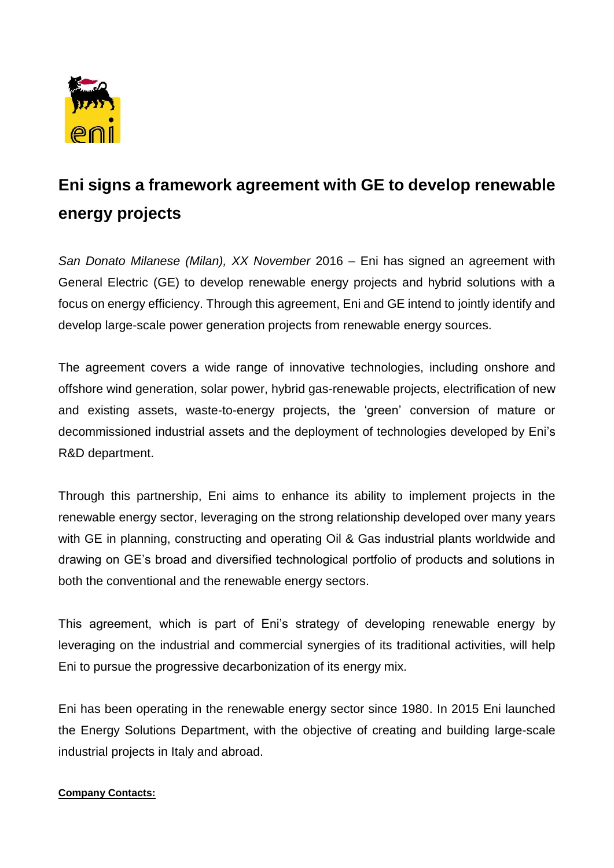

## **Eni signs a framework agreement with GE to develop renewable energy projects**

*San Donato Milanese (Milan), XX November* 2016 – Eni has signed an agreement with General Electric (GE) to develop renewable energy projects and hybrid solutions with a focus on energy efficiency. Through this agreement, Eni and GE intend to jointly identify and develop large-scale power generation projects from renewable energy sources.

The agreement covers a wide range of innovative technologies, including onshore and offshore wind generation, solar power, hybrid gas-renewable projects, electrification of new and existing assets, waste-to-energy projects, the 'green' conversion of mature or decommissioned industrial assets and the deployment of technologies developed by Eni's R&D department.

Through this partnership, Eni aims to enhance its ability to implement projects in the renewable energy sector, leveraging on the strong relationship developed over many years with GE in planning, constructing and operating Oil & Gas industrial plants worldwide and drawing on GE's broad and diversified technological portfolio of products and solutions in both the conventional and the renewable energy sectors.

This agreement, which is part of Eni's strategy of developing renewable energy by leveraging on the industrial and commercial synergies of its traditional activities, will help Eni to pursue the progressive decarbonization of its energy mix.

Eni has been operating in the renewable energy sector since 1980. In 2015 Eni launched the Energy Solutions Department, with the objective of creating and building large-scale industrial projects in Italy and abroad.

## **Company Contacts:**